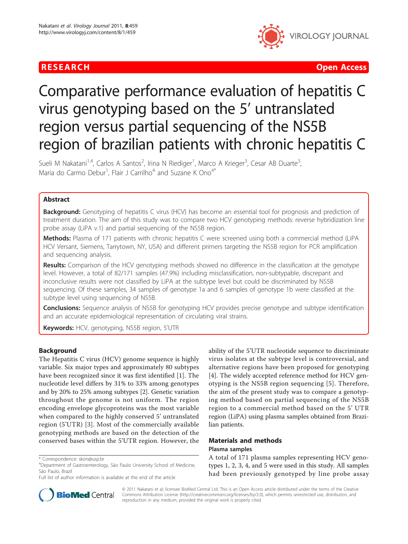

**RESEARCH Open Access Contract Contract Contract Contract Contract Contract Contract Contract Contract Contract Contract Contract Contract Contract Contract Contract Contract Contract Contract Contract Contract Contract** 

# Comparative performance evaluation of hepatitis C virus genotyping based on the 5' untranslated region versus partial sequencing of the NS5B region of brazilian patients with chronic hepatitis C

Sueli M Nakatani<sup>1,4</sup>, Carlos A Santos<sup>2</sup>, Irina N Riediger<sup>1</sup>, Marco A Krieger<sup>3</sup>, Cesar AB Duarte<sup>3</sup> , Maria do Carmo Debur<sup>1</sup>, Flair J Carrilho<sup>4</sup> and Suzane K Ono<sup>4\*</sup>

# Abstract

**Background:** Genotyping of hepatitis C virus (HCV) has become an essential tool for prognosis and prediction of treatment duration. The aim of this study was to compare two HCV genotyping methods: reverse hybridization line probe assay (LiPA v.1) and partial sequencing of the NS5B region.

Methods: Plasma of 171 patients with chronic hepatitis C were screened using both a commercial method (LiPA HCV Versant, Siemens, Tarrytown, NY, USA) and different primers targeting the NS5B region for PCR amplification and sequencing analysis.

Results: Comparison of the HCV genotyping methods showed no difference in the classification at the genotype level. However, a total of 82/171 samples (47.9%) including misclassification, non-subtypable, discrepant and inconclusive results were not classified by LiPA at the subtype level but could be discriminated by NS5B sequencing. Of these samples, 34 samples of genotype 1a and 6 samples of genotype 1b were classified at the subtype level using sequencing of NS5B.

Conclusions: Sequence analysis of NS5B for genotyping HCV provides precise genotype and subtype identification and an accurate epidemiological representation of circulating viral strains.

Keywords: HCV, genotyping, NS5B region, 5'UTR

# Background

The Hepatitis C virus (HCV) genome sequence is highly variable. Six major types and approximately 80 subtypes have been recognized since it was first identified [\[1](#page-4-0)]. The nucleotide level differs by 31% to 33% among genotypes and by 20% to 25% among subtypes [[2\]](#page-4-0). Genetic variation throughout the genome is not uniform. The region encoding envelope glycoproteins was the most variable when compared to the highly conserved 5' untranslated region (5'UTR) [\[3](#page-4-0)]. Most of the commercially available genotyping methods are based on the detection of the conserved bases within the 5'UTR region. However, the

Full list of author information is available at the end of the article

ability of the 5'UTR nucleotide sequence to discriminate virus isolates at the subtype level is controversial, and alternative regions have been proposed for genotyping [[4\]](#page-4-0). The widely accepted reference method for HCV genotyping is the NS5B region sequencing [[5\]](#page-4-0). Therefore, the aim of the present study was to compare a genotyping method based on partial sequencing of the NS5B region to a commercial method based on the 5' UTR region (LiPA) using plasma samples obtained from Brazilian patients.

# Materials and methods Plasma samples

A total of 171 plasma samples representing HCV genotypes 1, 2, 3, 4, and 5 were used in this study. All samples had been previously genotyped by line probe assay



© 2011 Nakatani et al; licensee BioMed Central Ltd. This is an Open Access article distributed under the terms of the Creative Commons Attribution License [\(http://creativecommons.org/licenses/by/2.0](http://creativecommons.org/licenses/by/2.0)), which permits unrestricted use, distribution, and reproduction in any medium, provided the original work is properly cited.

<sup>\*</sup> Correspondence: [skon@usp.br](mailto:skon@usp.br)

<sup>4</sup> Department of Gastroenterology, São Paulo University School of Medicine, São Paulo, Brazil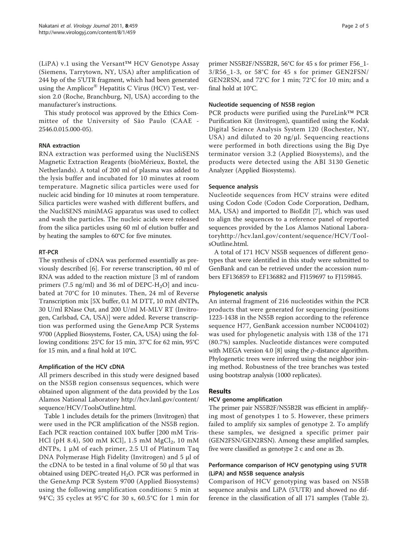(LiPA) v.1 using the Versant™ HCV Genotype Assay (Siemens, Tarrytown, NY, USA) after amplification of 244 bp of the 5'UTR fragment, which had been generated using the Amplicor<sup>®</sup> Hepatitis C Virus (HCV) Test, version 2.0 (Roche, Branchburg, NJ, USA) according to the manufacturer's instructions.

This study protocol was approved by the Ethics Committee of the University of São Paulo (CAAE - 2546.0.015.000-05).

# RNA extraction

RNA extraction was performed using the NucliSENS Magnetic Extraction Reagents (bioMérieux, Boxtel, the Netherlands). A total of 200 ml of plasma was added to the lysis buffer and incubated for 10 minutes at room temperature. Magnetic silica particles were used for nucleic acid binding for 10 minutes at room temperature. Silica particles were washed with different buffers, and the NucliSENS miniMAG apparatus was used to collect and wash the particles. The nucleic acids were released from the silica particles using 60 ml of elution buffer and by heating the samples to 60°C for five minutes.

# RT-PCR

The synthesis of cDNA was performed essentially as previously described [\[6](#page-4-0)]. For reverse transcription, 40 ml of RNA was added to the reaction mixture [3 ml of random primers (7.5 ng/ml) and 36 ml of DEPC-H<sub>2</sub>O] and incubated at 70°C for 10 minutes. Then, 24 ml of Reverse Transcription mix [5X buffer, 0.1 M DTT, 10 mM dNTPs, 30 U/ml RNase Out, and 200 U/ml M-MLV RT (Invitrogen, Carlsbad, CA, USA)] were added. Reverse transcription was performed using the GeneAmp PCR Systems 9700 (Applied Biosystems, Foster, CA, USA) using the following conditions: 25°C for 15 min, 37°C for 62 min, 95°C for 15 min, and a final hold at 10°C.

#### Amplification of the HCV cDNA

All primers described in this study were designed based on the NS5B region consensus sequences, which were obtained upon alignment of the data provided by the Los Alamos National Laboratory [http://hcv.lanl.gov/content/](http://hcv.lanl.gov/content/sequence/HCV/ToolsOutline.html) [sequence/HCV/ToolsOutline.html.](http://hcv.lanl.gov/content/sequence/HCV/ToolsOutline.html)

Table [1](#page-2-0) includes details for the primers (Invitrogen) that were used in the PCR amplification of the NS5B region. Each PCR reaction contained 10X buffer [200 mM Tris-HCl (pH 8.4), 500 mM KCl], 1.5 mM  $MgCl_2$ , 10 mM dNTPs, 1 μM of each primer, 2.5 UI of Platinum Taq DNA Polymerase High Fidelity (Invitrogen) and 5 μl of the cDNA to be tested in a final volume of 50 μl that was obtained using DEPC-treated  $H_2O$ . PCR was performed in the GeneAmp PCR System 9700 (Applied Biosystems) using the following amplification conditions: 5 min at 94°C; 35 cycles at 95°C for 30 s, 60.5°C for 1 min for

primer NS5B2F/NS5B2R, 56°C for 45 s for primer F56\_1- 3/R56\_1-3, or 58°C for 45 s for primer GEN2FSN/ GEN2RSN, and 72°C for 1 min; 72°C for 10 min; and a final hold at 10°C.

# Nucleotide sequencing of NS5B region

PCR products were purified using the PureLink™ PCR Purification Kit (Invitrogen), quantified using the Kodak Digital Science Analysis System 120 (Rochester, NY, USA) and diluted to 20 ng/μl. Sequencing reactions were performed in both directions using the Big Dye terminator version 3.2 (Applied Biosystems), and the products were detected using the ABI 3130 Genetic Analyzer (Applied Biosystems).

# Sequence analysis

Nucleotide sequences from HCV strains were edited using Codon Code (Codon Code Corporation, Dedham, MA, USA) and imported to BioEdit [[7\]](#page-4-0), which was used to align the sequences to a reference panel of reported sequences provided by the Los Alamos National Laborator[yhttp://hcv.lanl.gov/content/sequence/HCV/Tool](http://hcv.lanl.gov/content/sequence/HCV/ToolsOutline.html)[sOutline.html.](http://hcv.lanl.gov/content/sequence/HCV/ToolsOutline.html)

A total of 171 HCV NS5B sequences of different genotypes that were identified in this study were submitted to GenBank and can be retrieved under the accession numbers [EF136859](http://www.ncbi.nih.gov/entrez/query.fcgi?db=Nucleotide&cmd=search&term=EF136859) to [EF136882](http://www.ncbi.nih.gov/entrez/query.fcgi?db=Nucleotide&cmd=search&term=EF136882) and [FJ159697](http://www.ncbi.nih.gov/entrez/query.fcgi?db=Nucleotide&cmd=search&term=FJ159697) to [FJ159845.](http://www.ncbi.nih.gov/entrez/query.fcgi?db=Nucleotide&cmd=search&term=FJ159845)

#### Phylogenetic analysis

An internal fragment of 216 nucleotides within the PCR products that were generated for sequencing (positions 1223-1438 in the NS5B region according to the reference sequence H77, GenBank accession number [NC004102](http://www.ncbi.nih.gov/entrez/query.fcgi?db=Nucleotide&cmd=search&term=NC004102)) was used for phylogenetic analysis with 138 of the 171 (80.7%) samples. Nucleotide distances were computed with MEGA version 4.0 [[8](#page-4-0)] using the  $\rho$ -distance algorithm. Phylogenetic trees were inferred using the neighbor joining method. Robustness of the tree branches was tested using bootstrap analysis (1000 replicates).

# Results

#### HCV genome amplification

The primer pair NS5B2F/NS5B2R was efficient in amplifying most of genotypes 1 to 5. However, these primers failed to amplify six samples of genotype 2. To amplify these samples, we designed a specific primer pair (GEN2FSN/GEN2RSN). Among these amplified samples, five were classified as genotype 2 c and one as 2b.

# Performance comparison of HCV genotyping using 5'UTR (LiPA) and NS5B sequence analysis

Comparison of HCV genotyping was based on NS5B sequence analysis and LiPA (5'UTR) and showed no difference in the classification of all 171 samples (Table [2](#page-2-0)).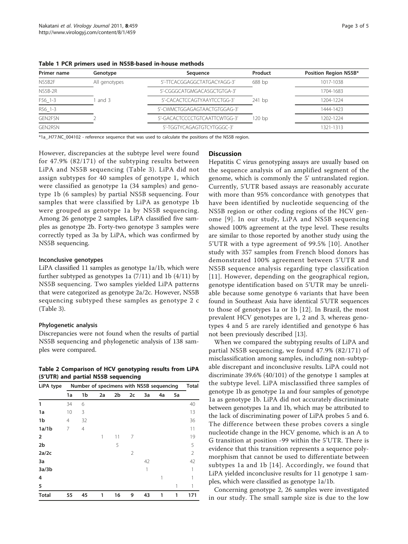| Primer name    | Genotype      | Sequence                      | Product | Position Region NS5B* |
|----------------|---------------|-------------------------------|---------|-----------------------|
| NS5B2F         | All genotypes | 5'-TTCACGGAGGCTATGACYAGG-3'   | 688 bp  | 1017-1038             |
| NS5B-2R        |               | 5'-CGGGCATGMGACASGCTGTGA-3'   |         | 1704-1683             |
| F56 1-3        | and 3         | 5'-CACACTCCAGTYAAYTCCTGG-3'   | 241 bp  | 1204-1224             |
| R56 1-3        |               | 5'-CWMCTGGAGAGTAACTGTGGAG-3'  |         | 1444-1423             |
| <b>GEN2FSN</b> |               | 5'-GACACTCCCCTGTCAATTCWTGG-3' | 120 bp  | 1202-1224             |
| <b>GEN2RSN</b> |               | 5'-TGGTYCAGAGTGTCYTGGGC-3'    |         | 1321-1313             |

<span id="page-2-0"></span>Table 1 PCR primers used in NS5B-based in-house methods

\*1a\_.H77.NC\_004102 - reference sequence that was used to calculate the positions of the NS5B region.

However, discrepancies at the subtype level were found for 47.9% (82/171) of the subtyping results between LiPA and NS5B sequencing (Table [3](#page-3-0)). LiPA did not assign subtypes for 40 samples of genotype 1, which were classified as genotype 1a (34 samples) and genotype 1b (6 samples) by partial NS5B sequencing. Four samples that were classified by LiPA as genotype 1b were grouped as genotype 1a by NS5B sequencing. Among 26 genotype 2 samples, LiPA classified five samples as genotype 2b. Forty-two genotype 3 samples were correctly typed as 3a by LiPA, which was confirmed by NS5B sequencing.

#### Inconclusive genotypes

LiPA classified 11 samples as genotype 1a/1b, which were further subtyped as genotypes 1a (7/11) and 1b (4/11) by NS5B sequencing. Two samples yielded LiPA patterns that were categorized as genotype 2a/2c. However, NS5B sequencing subtyped these samples as genotype 2 c (Table [3](#page-3-0)).

#### Phylogenetic analysis

Discrepancies were not found when the results of partial NS5B sequencing and phylogenetic analysis of 138 samples were compared.

Table 2 Comparison of HCV genotyping results from LiPA (5'UTR) and partial NS5B sequencing

| LiPA type      |                | Number of specimens with NS5B sequencing |    |    |    |    |    |    | Total |
|----------------|----------------|------------------------------------------|----|----|----|----|----|----|-------|
|                | 1a             | 1b                                       | 2a | 2b | 2c | 3a | 4a | 5a |       |
| 1              | 34             | 6                                        |    |    |    |    |    |    | 40    |
| 1a             | 10             | 3                                        |    |    |    |    |    |    | 13    |
| 1b             | $\overline{4}$ | 32                                       |    |    |    |    |    |    | 36    |
| 1a/1b          | 7              | $\overline{4}$                           |    |    |    |    |    |    | 11    |
| $\overline{2}$ |                |                                          | 1  | 11 | 7  |    |    |    | 19    |
| 2 <sub>b</sub> |                |                                          |    | 5  |    |    |    |    | 5     |
| 2a/2c          |                |                                          |    |    | 2  |    |    |    | 2     |
| 3a             |                |                                          |    |    |    | 42 |    |    | 42    |
| 3a/3b          |                |                                          |    |    |    | 1  |    |    |       |
| 4              |                |                                          |    |    |    |    |    |    |       |
| 5              |                |                                          |    |    |    |    |    | 1  | 1     |
| Total          | 55             | 45                                       | 1  | 16 | 9  | 43 | 1  | 1  | 171   |

#### **Discussion**

Hepatitis C virus genotyping assays are usually based on the sequence analysis of an amplified segment of the genome, which is commonly the 5' untranslated region. Currently, 5'UTR based assays are reasonably accurate with more than 95% concordance with genotypes that have been identified by nucleotide sequencing of the NS5B region or other coding regions of the HCV genome [[9](#page-4-0)]. In our study, LiPA and NS5B sequencing showed 100% agreement at the type level. These results are similar to those reported by another study using the 5'UTR with a type agreement of 99.5% [[10](#page-4-0)]. Another study with 357 samples from French blood donors has demonstrated 100% agreement between 5'UTR and NS5B sequence analysis regarding type classification [[11](#page-4-0)]. However, depending on the geographical region, genotype identification based on 5'UTR may be unreliable because some genotype 6 variants that have been found in Southeast Asia have identical 5'UTR sequences to those of genotypes 1a or 1b [[12\]](#page-4-0). In Brazil, the most prevalent HCV genotypes are 1, 2 and 3, whereas genotypes 4 and 5 are rarely identified and genotype 6 has not been previously described [[13](#page-4-0)].

When we compared the subtyping results of LiPA and partial NS5B sequencing, we found 47.9% (82/171) of misclassification among samples, including non-subtypable discrepant and inconclusive results. LiPA could not discriminate 39.6% (40/101) of the genotype 1 samples at the subtype level. LiPA misclassified three samples of genotype 1b as genotype 1a and four samples of genotype 1a as genotype 1b. LiPA did not accurately discriminate between genotypes 1a and 1b, which may be attributed to the lack of discriminating power of LiPA probes 5 and 6. The difference between these probes covers a single nucleotide change in the HCV genome, which is an A to G transition at position -99 within the 5'UTR. There is evidence that this transition represents a sequence polymorphism that cannot be used to differentiate between subtypes 1a and 1b [[14\]](#page-4-0). Accordingly, we found that LiPA yielded inconclusive results for 11 genotype 1 samples, which were classified as genotype 1a/1b.

Concerning genotype 2, 26 samples were investigated in our study. The small sample size is due to the low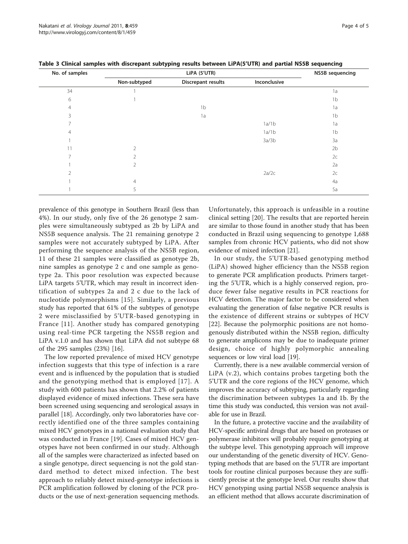| No. of samples |                | <b>NS5B</b> sequencing    |              |                |
|----------------|----------------|---------------------------|--------------|----------------|
|                | Non-subtyped   | <b>Discrepant results</b> | Inconclusive |                |
| 34             |                |                           |              | 1a             |
| 6              |                |                           |              | 1 <sub>b</sub> |
| $\overline{4}$ |                | 1 <sub>b</sub>            |              | 1a             |
| 3              |                | 1a                        |              | 1 <sub>b</sub> |
| 7              |                |                           | 1a/1b        | 1a             |
| $\overline{4}$ |                |                           | 1a/1b        | 1 <sub>b</sub> |
|                |                |                           | 3a/3b        | 3a             |
| 11             | $\mathfrak{D}$ |                           |              | 2 <sub>b</sub> |
| 7              | 2              |                           |              | 2c             |
|                | 2              |                           |              | 2a             |
| $\overline{2}$ |                |                           | 2a/2c        | 2c             |
|                | $\overline{4}$ |                           |              | 4a             |
|                | 5              |                           |              | 5a             |

<span id="page-3-0"></span>Table 3 Clinical samples with discrepant subtyping results between LiPA(5'UTR) and partial NS5B sequencing

prevalence of this genotype in Southern Brazil (less than 4%). In our study, only five of the 26 genotype 2 samples were simultaneously subtyped as 2b by LiPA and NS5B sequence analysis. The 21 remaining genotype 2 samples were not accurately subtyped by LiPA. After performing the sequence analysis of the NS5B region, 11 of these 21 samples were classified as genotype 2b, nine samples as genotype 2 c and one sample as genotype 2a. This poor resolution was expected because LiPA targets 5'UTR, which may result in incorrect identification of subtypes 2a and 2 c due to the lack of nucleotide polymorphisms [\[15\]](#page-4-0). Similarly, a previous study has reported that 61% of the subtypes of genotype 2 were misclassified by 5'UTR-based genotyping in France [[11](#page-4-0)]. Another study has compared genotyping using real-time PCR targeting the NS5B region and LiPA v.1.0 and has shown that LiPA did not subtype 68 of the 295 samples (23%) [[16](#page-4-0)].

The low reported prevalence of mixed HCV genotype infection suggests that this type of infection is a rare event and is influenced by the population that is studied and the genotyping method that is employed [[17](#page-4-0)]. A study with 600 patients has shown that 2.2% of patients displayed evidence of mixed infections. These sera have been screened using sequencing and serological assays in parallel [\[18\]](#page-4-0). Accordingly, only two laboratories have correctly identified one of the three samples containing mixed HCV genotypes in a national evaluation study that was conducted in France [\[19](#page-4-0)]. Cases of mixed HCV genotypes have not been confirmed in our study. Although all of the samples were characterized as infected based on a single genotype, direct sequencing is not the gold standard method to detect mixed infection. The best approach to reliably detect mixed-genotype infections is PCR amplification followed by cloning of the PCR products or the use of next-generation sequencing methods.

Unfortunately, this approach is unfeasible in a routine clinical setting [[20](#page-4-0)]. The results that are reported herein are similar to those found in another study that has been conducted in Brazil using sequencing to genotype 1,688 samples from chronic HCV patients, who did not show evidence of mixed infection [[21](#page-4-0)].

In our study, the 5'UTR-based genotyping method (LiPA) showed higher efficiency than the NS5B region to generate PCR amplification products. Primers targeting the 5'UTR, which is a highly conserved region, produce fewer false negative results in PCR reactions for HCV detection. The major factor to be considered when evaluating the generation of false negative PCR results is the existence of different strains or subtypes of HCV [[22](#page-4-0)]. Because the polymorphic positions are not homogenously distributed within the NS5B region, difficulty to generate amplicons may be due to inadequate primer design, choice of highly polymorphic annealing sequences or low viral load [[19\]](#page-4-0).

Currently, there is a new available commercial version of LiPA (v.2), which contains probes targeting both the 5'UTR and the core regions of the HCV genome, which improves the accuracy of subtyping, particularly regarding the discrimination between subtypes 1a and 1b. By the time this study was conducted, this version was not available for use in Brazil.

In the future, a protective vaccine and the availability of HCV-specific antiviral drugs that are based on proteases or polymerase inhibitors will probably require genotyping at the subtype level. This genotyping approach will improve our understanding of the genetic diversity of HCV. Genotyping methods that are based on the 5'UTR are important tools for routine clinical purposes because they are sufficiently precise at the genotype level. Our results show that HCV genotyping using partial NS5B sequence analysis is an efficient method that allows accurate discrimination of